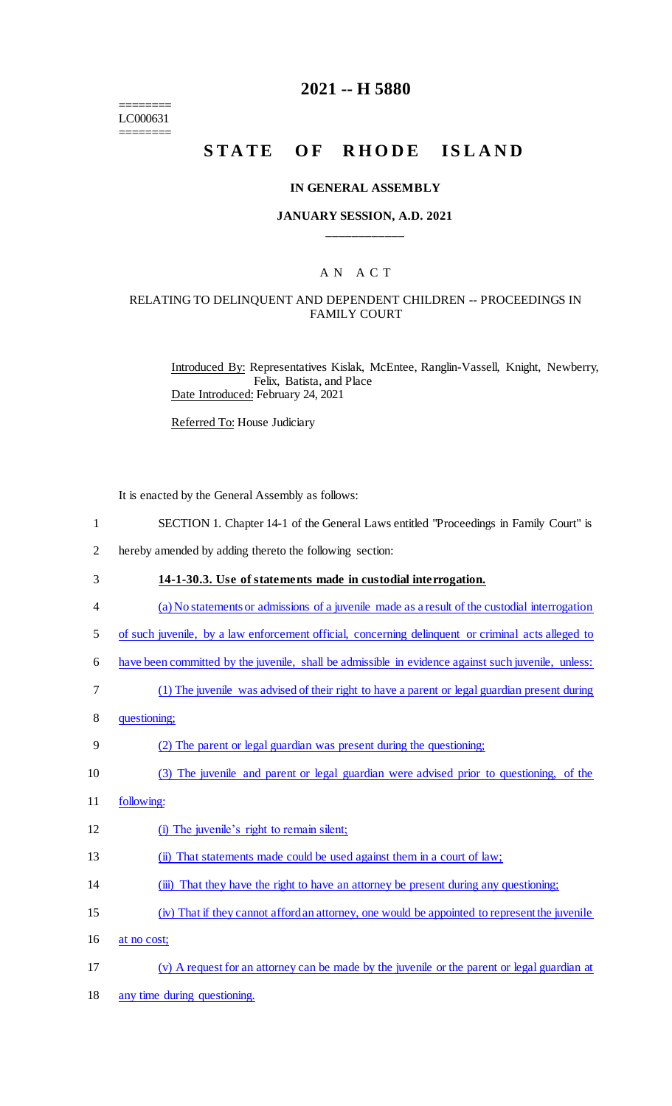======== LC000631 ========

### **2021 -- H 5880**

# STATE OF RHODE ISLAND

#### **IN GENERAL ASSEMBLY**

### **JANUARY SESSION, A.D. 2021 \_\_\_\_\_\_\_\_\_\_\_\_**

### A N A C T

### RELATING TO DELINQUENT AND DEPENDENT CHILDREN -- PROCEEDINGS IN FAMILY COURT

Introduced By: Representatives Kislak, McEntee, Ranglin-Vassell, Knight, Newberry, Felix, Batista, and Place Date Introduced: February 24, 2021

Referred To: House Judiciary

It is enacted by the General Assembly as follows:

|  |  |  | SECTION 1. Chapter 14-1 of the General Laws entitled "Proceedings in Family Court" is |
|--|--|--|---------------------------------------------------------------------------------------|
|  |  |  |                                                                                       |

- 2 hereby amended by adding thereto the following section:
- 3 **14-1-30.3. Use of statements made in custodial interrogation.**
- 4 (a) No statements or admissions of a juvenile made as a result of the custodial interrogation
- 5 of such juvenile, by a law enforcement official, concerning delinquent or criminal acts alleged to
- 6 have been committed by the juvenile, shall be admissible in evidence against such juvenile, unless:
- 7 (1) The juvenile was advised of their right to have a parent or legal guardian present during
- 8 questioning;

#### 9 (2) The parent or legal guardian was present during the questioning;

- 10 (3) The juvenile and parent or legal guardian were advised prior to questioning, of the
- 11 following:
- 12 (i) The juvenile's right to remain silent;
- 13 (ii) That statements made could be used against them in a court of law;
- 14 (iii) That they have the right to have an attorney be present during any questioning;
- 15 (iv) That if they cannot afford an attorney, one would be appointed to represent the juvenile
- 16 at no cost;
- 17 (v) A request for an attorney can be made by the juvenile or the parent or legal guardian at
- 18 any time during questioning.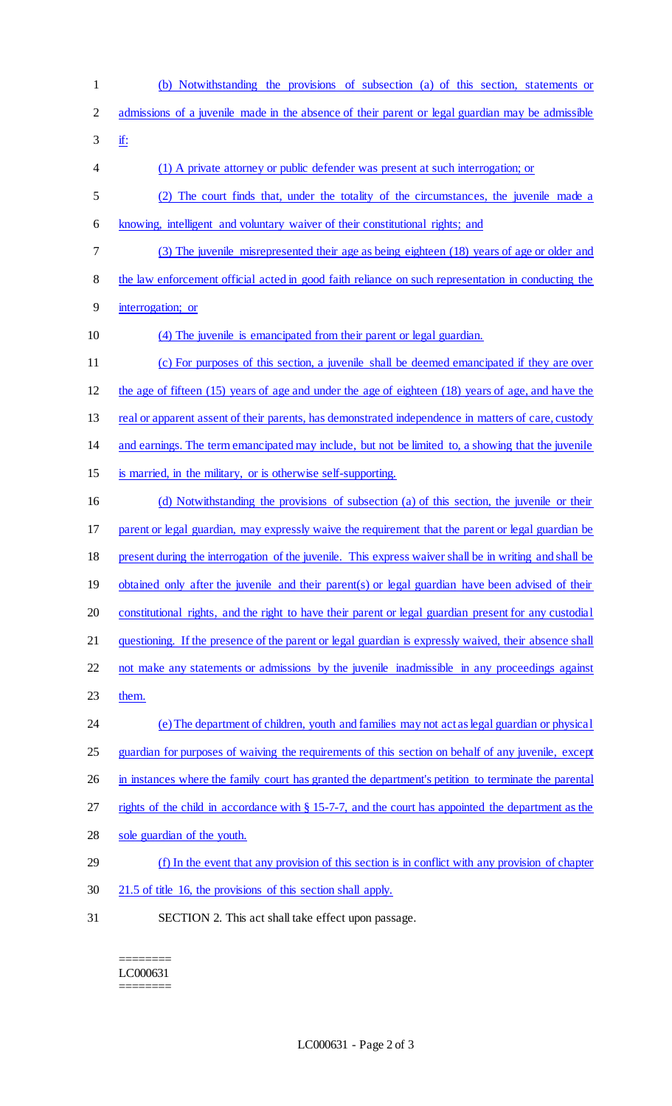- (b) Notwithstanding the provisions of subsection (a) of this section, statements or admissions of a juvenile made in the absence of their parent or legal guardian may be admissible
- if:
- (1) A private attorney or public defender was present at such interrogation; or
- (2) The court finds that, under the totality of the circumstances, the juvenile made a knowing, intelligent and voluntary waiver of their constitutional rights; and
- (3) The juvenile misrepresented their age as being eighteen (18) years of age or older and
- the law enforcement official acted in good faith reliance on such representation in conducting the
- interrogation; or
- (4) The juvenile is emancipated from their parent or legal guardian.
- (c) For purposes of this section, a juvenile shall be deemed emancipated if they are over the age of fifteen (15) years of age and under the age of eighteen (18) years of age, and have the 13 real or apparent assent of their parents, has demonstrated independence in matters of care, custody and earnings. The term emancipated may include, but not be limited to, a showing that the juvenile is married, in the military, or is otherwise self-supporting. (d) Notwithstanding the provisions of subsection (a) of this section, the juvenile or their parent or legal guardian, may expressly waive the requirement that the parent or legal guardian be present during the interrogation of the juvenile. This express waiver shall be in writing and shall be 19 obtained only after the juvenile and their parent(s) or legal guardian have been advised of their constitutional rights, and the right to have their parent or legal guardian present for any custodial questioning. If the presence of the parent or legal guardian is expressly waived, their absence shall not make any statements or admissions by the juvenile inadmissible in any proceedings against them. (e) The department of children, youth and families may not act as legal guardian or physical guardian for purposes of waiving the requirements of this section on behalf of any juvenile, except 26 in instances where the family court has granted the department's petition to terminate the parental rights of the child in accordance with § 15-7-7, and the court has appointed the department as the sole guardian of the youth. (f) In the event that any provision of this section is in conflict with any provision of chapter 21.5 of title 16, the provisions of this section shall apply.
- SECTION 2. This act shall take effect upon passage.

======== LC000631 ========